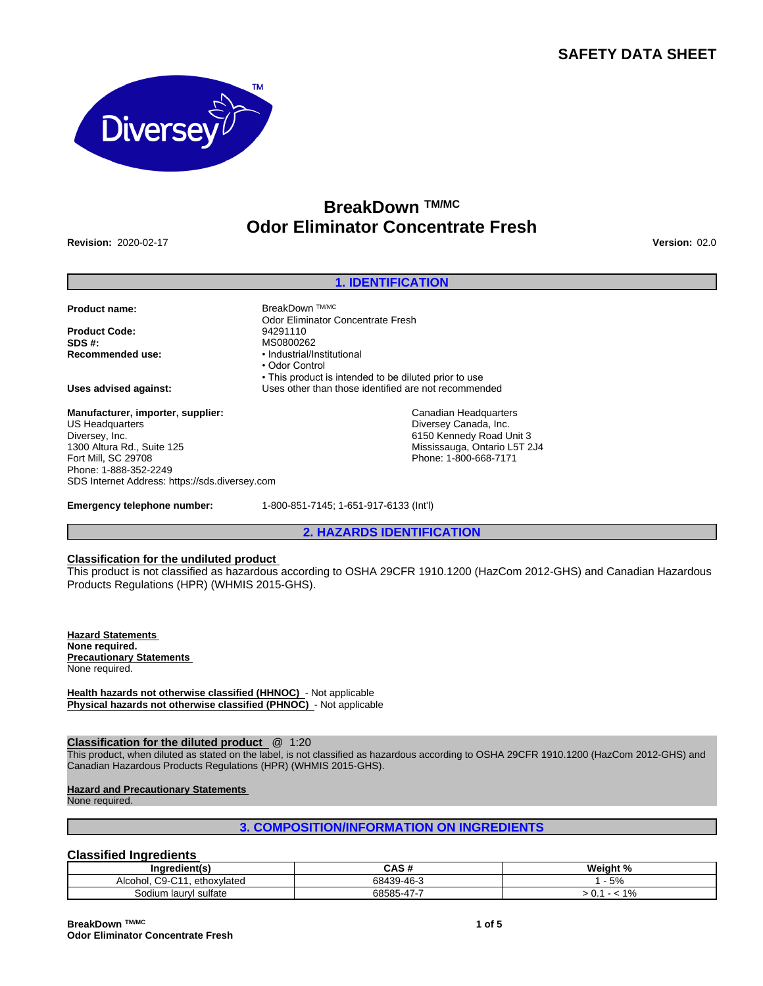# **SAFETY DATA SHEET**



# **BreakDown TM/MC Odor Eliminator Concentrate Fresh**

**Revision:** 2020-02-17 **Version:** 02.0

# **1. IDENTIFICATION**

• This product is intended to be diluted prior to use

**Product name:** BreakDown TM/MC

**Product Code:** 94291110<br> **SDS #:** MS080026 **SDS #:**<br> **Recommended use:**<br> **Recommended use:**<br> **e** Industrial/Industrial/Industrial/Industrial/Industrial/Industrial/Industrial/Industrial/Industrial/Industrial

**Uses advised against:** Uses other than those identified are not recommended

**Manufacturer, importer, supplier:** US Headquarters Diversey, Inc. 1300 Altura Rd., Suite 125 Fort Mill, SC 29708 Phone: 1-888-352-2249 SDS Internet Address: https://sds.diversey.com

**Emergency telephone number:** 1-800-851-7145; 1-651-917-6133 (Int'l)

Odor Eliminator Concentrate Fresh

**Recommended use:** •Industrial/Institutional • Odor Control

**2. HAZARDS IDENTIFICATION**

Canadian Headquarters Diversey Canada, Inc. 6150 Kennedy Road Unit 3 Mississauga, Ontario L5T 2J4 Phone: 1-800-668-7171

#### **Classification for the undiluted product**

This product is not classified as hazardous according to OSHA 29CFR 1910.1200 (HazCom 2012-GHS) and Canadian Hazardous Products Regulations (HPR) (WHMIS 2015-GHS).

**Hazard Statements None required. Precautionary Statements**  None required.

**Health hazards not otherwise classified (HHNOC)** - Not applicable **Physical hazards not otherwise classified (PHNOC)** - Not applicable

# **Classification for the diluted product** @ 1:20

This product, when diluted as stated on the label, is not classified as hazardous according to OSHA 29CFR 1910.1200 (HazCom 2012-GHS) and Canadian Hazardous Products Regulations (HPR) (WHMIS 2015-GHS).

**Hazard and Precautionary Statements** 

None required.

# **3. COMPOSITION/INFORMATION ON INGREDIENTS**

# **Classified Ingredients**

| $- -$<br>Indredient(s)                                                 | .<br>n                                   | Weight %        |
|------------------------------------------------------------------------|------------------------------------------|-----------------|
| $\sim$<br>$\sim$<br>ethoxvlated<br>امطمما<br>. .<br>AIGUHUI.<br>ື<br>ີ | 68439-46-3                               | E0.<br>$\Omega$ |
| $\cdot$<br>ˈsulfate<br>Sodium<br>laurv                                 | $\overline{\phantom{0}}$<br>68585<br>ำ-4 | 40/<br>7٥<br>J. |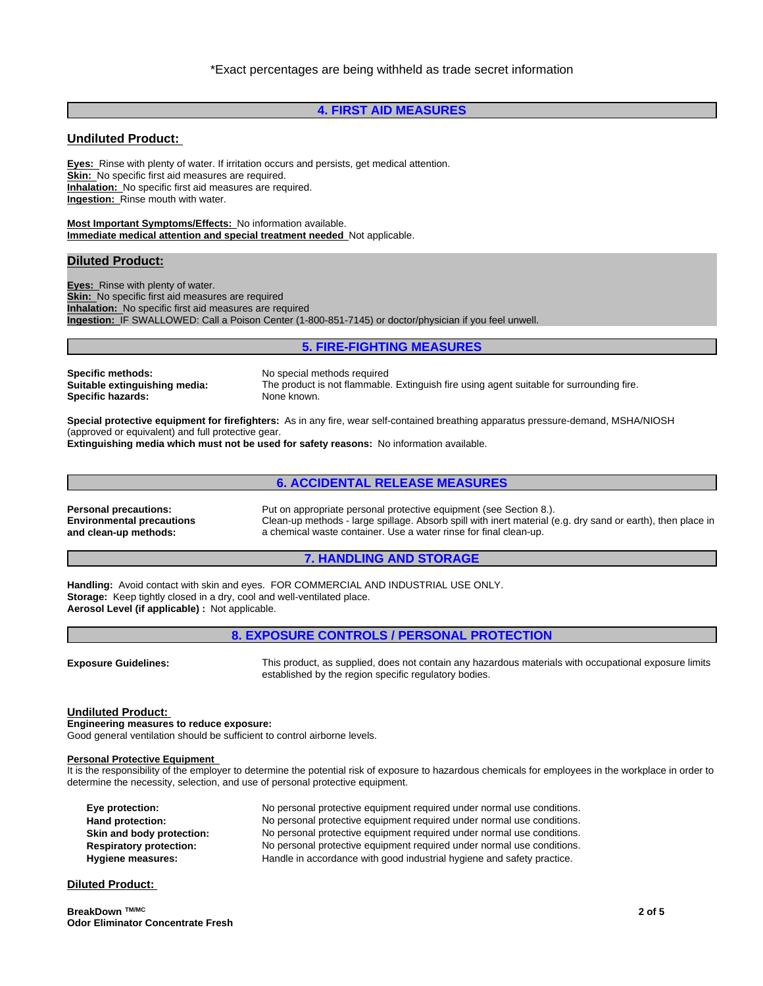# **4. FIRST AID MEASURES**

# **Undiluted Product:**

**Eyes:** Rinse with plenty of water. If irritation occurs and persists, get medical attention. **Skin:** No specific first aid measures are required. **Inhalation:** No specific first aid measures are required. **Ingestion:** Rinse mouth with water.

**Most Important Symptoms/Effects:** No information available. **Immediate medical attention and special treatment needed** Not applicable.

## **Diluted Product:**

**Eyes:** Rinse with plenty of water. **Skin:** No specific first aid measures are required **Inhalation:** No specific first aid measures are required **Ingestion:** IF SWALLOWED: Call a Poison Center (1-800-851-7145) or doctor/physician if you feel unwell.

#### **5. FIRE-FIGHTING MEASURES**

**Specific methods:** No special methods required **Specific hazards:** 

**Suitable extinguishing media:** The product is not flammable. Extinguish fire using agent suitable for surrounding fire.

**Special protective equipment for firefighters:** As in any fire, wear self-contained breathing apparatus pressure-demand, MSHA/NIOSH (approved or equivalent) and full protective gear.

**Extinguishing media which must not be used for safety reasons:** No information available.

# **6. ACCIDENTAL RELEASE MEASURES**

**Environmental precautions and clean-up methods:**

**Personal precautions:** Put on appropriate personal protective equipment (see Section 8.). Clean-up methods - large spillage. Absorb spill with inert material (e.g. dry sand or earth), then place in a chemical waste container. Use a water rinse for final clean-up.

# **7. HANDLING AND STORAGE**

**Handling:** Avoid contact with skin and eyes. FOR COMMERCIAL AND INDUSTRIAL USE ONLY. **Storage:** Keep tightly closed in a dry, cool and well-ventilated place. **Aerosol Level (if applicable) :** Not applicable.

|                             | <b>8. EXPOSURE CONTROLS / PERSONAL PROTECTION</b>                                                     |
|-----------------------------|-------------------------------------------------------------------------------------------------------|
|                             |                                                                                                       |
| <b>Exposure Guidelines:</b> | This product, as supplied, does not contain any hazardous materials with occupational exposure limits |

established by the region specific regulatory bodies.

# **Undiluted Product:**

**Engineering measures to reduce exposure:** Good general ventilation should be sufficient to control airborne levels.

#### **Personal Protective Equipment**

It is the responsibility of the employer to determine the potential risk of exposure to hazardous chemicals for employees in the workplace in order to determine the necessity, selection, and use of personal protective equipment.

| Eye protection:                | No personal protective equipment required under normal use conditions. |
|--------------------------------|------------------------------------------------------------------------|
| Hand protection:               | No personal protective equipment required under normal use conditions. |
| Skin and body protection:      | No personal protective equipment required under normal use conditions. |
| <b>Respiratory protection:</b> | No personal protective equipment required under normal use conditions. |
| Hygiene measures:              | Handle in accordance with good industrial hygiene and safety practice. |

# **Diluted Product:**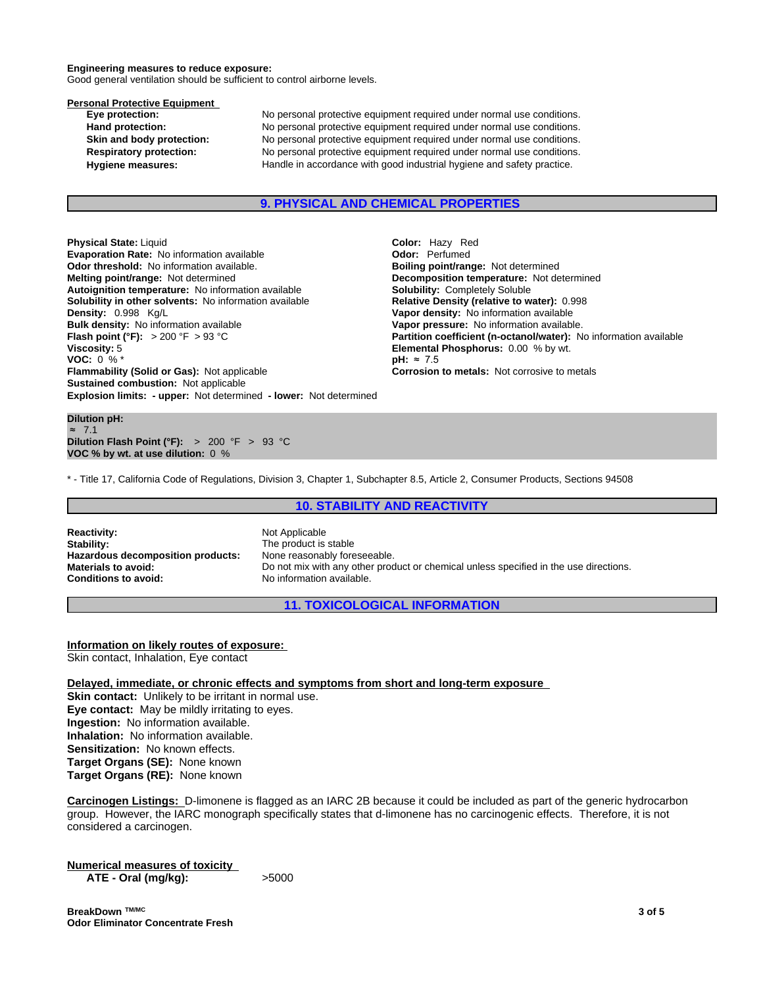#### **Engineering measures to reduce exposure:**

Good general ventilation should be sufficient to control airborne levels.

# **Personal Protective Equipment**<br>Eve protection:

No personal protective equipment required under normal use conditions. **Hand protection:** No personal protective equipment required under normal use conditions. **Skin and body protection:** No personal protective equipment required under normal use conditions. **Respiratory protection:** No personal protective equipment required under normal use conditions. **Hygiene measures:** Handle in accordance with good industrial hygiene and safety practice.

#### **9. PHYSICAL AND CHEMICAL PROPERTIES**

**Explosion limits: - upper:** Not determined **- lower:** Not determined **Physical State:** Liquid **Color: Hazy Red Evaporation Rate:** No information available **Color: Perfumed Color:** Perfumed **Evaporation Rate:** No information available **Concept Concept Concept Concept Concept** Concept Concept Concept Concept Concept Concept Concept Concept Concept Concept Concept Concept Concept Concept Concept Concept Concept **Odor threshold:** No information available. **Melting point/range:** Not determined **Decomposition temperature:** Not determined **Autoignition temperature:** No information available **Solubility:** Completely Soluble **Solubility in other solvents:** No information available **Relative Density (relative to water):** 0.998 **Density:** 0.998 Kg/L **Vapor density:** No information available **Bulk density:** No information available **Vanet Convertion available.**<br> **Flash point (°F):** > 200 °F > 93 °C **Convertion Convertion Convertion Coefficient (n-octanol/water): N Flash point (°F):** > 200 °F > 93 °C **Partition coefficient (n-octanol/water):** No information available Viscosity: 5<br> **Partition coefficient (n-octanol/water):** No information available **VOC:** 0 % \* **pH:** ≈7.5 **Flammability (Solid or Gas):** Not applicable **Corrosion to metals:** Not corrosive to metals **Corrosion to metals Sustained combustion:** Not applicable

**Dilution pH:** ≈ 7.1 **Dilution Flash Point (°F):** > 200 °F > 93 °C **VOC % by wt. at use dilution:** 0 %

**Elemental Phosphorus:** 0.00 % by wt.<br> $pH: \approx 7.5$ 

\* - Title 17, California Code of Regulations, Division 3, Chapter 1, Subchapter 8.5, Article 2, Consumer Products, Sections 94508

# **10. STABILITY AND REACTIVITY**

**Reactivity:** Not Applicable **Stability:** The product is stable **Hazardous decomposition products:** None reasonably foreseeable.

**Materials to avoid:** Do not mix with any other product or chemical unless specified in the use directions.<br> **Conditions to avoid:** No information available. **Conditions to avoid:** No information available.

**11. TOXICOLOGICAL INFORMATION**

**Information on likely routes of exposure:** Skin contact, Inhalation, Eye contact

**Delayed, immediate, or chronic effects and symptoms from short and long-term exposure**

**Skin contact:** Unlikely to be irritant in normal use. **Eye contact:** May be mildly irritating to eyes. **Ingestion:** No information available. **Inhalation:** No information available. **Sensitization:** No known effects. **Target Organs (SE):** None known **Target Organs (RE):** None known

**Carcinogen Listings:** D-limonene isflagged as an IARC 2B because it could be included as part of the generic hydrocarbon group. However, the IARC monograph specifically states that d-limonene has no carcinogenic effects. Therefore, it is not considered a carcinogen.

**Numerical measures of toxicity ATE** - Oral (mg/kg):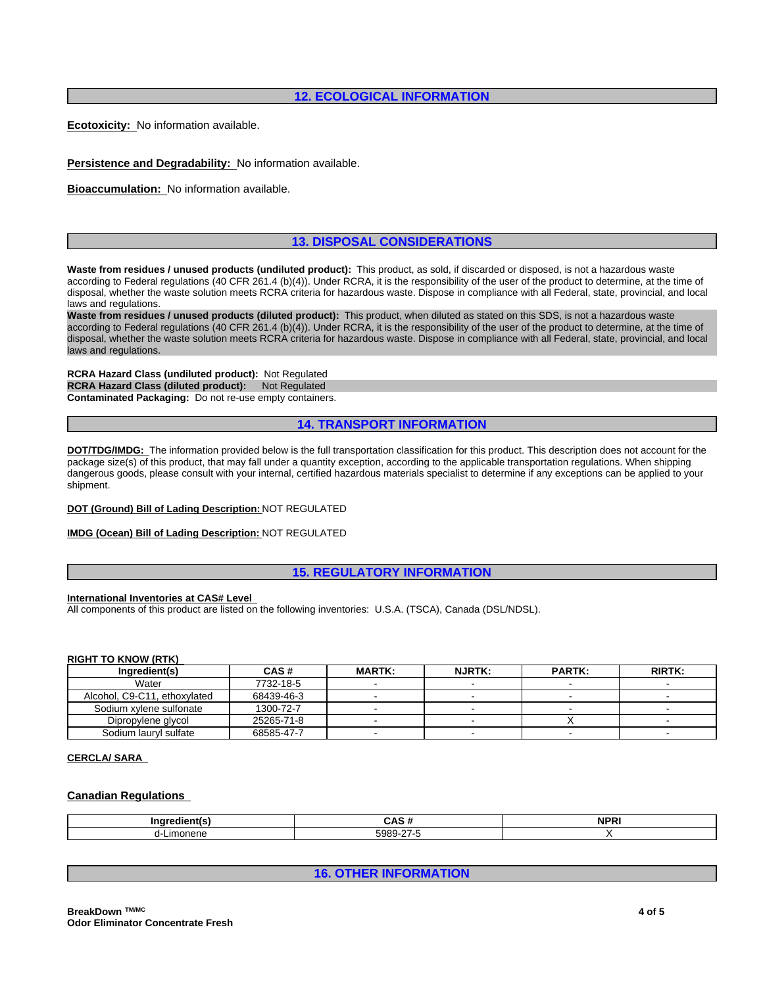# **12. ECOLOGICAL INFORMATION**

**Ecotoxicity:** No information available.

**Persistence and Degradability:** No information available.

**Bioaccumulation:** No information available.

# **13. DISPOSAL CONSIDERATIONS**

**Waste from residues / unused products (undiluted product):** This product, as sold, if discarded or disposed, is not a hazardous waste according to Federal regulations (40 CFR 261.4 (b)(4)). Under RCRA, it is the responsibility of the user of the product to determine, at the time of disposal, whether the waste solution meets RCRA criteria for hazardous waste. Dispose in compliance with all Federal, state, provincial, and local laws and regulations.

**Waste from residues / unused products (diluted product):** This product, when diluted as stated on this SDS, is not a hazardous waste according to Federal regulations (40 CFR 261.4 (b)(4)). Under RCRA, it is the responsibility of the user of the product to determine, at the time of disposal, whether the waste solution meets RCRA criteria for hazardous waste. Dispose in compliance with all Federal, state, provincial, and local laws and regulations.

**RCRA Hazard Class (undiluted product):** Not Regulated **RCRA Hazard Class (diluted product): Not Regulated Contaminated Packaging:** Do not re-use empty containers.

**14. TRANSPORT INFORMATION**

**DOT/TDG/IMDG:** The information provided below is the full transportation classification for this product. This description does not account for the package size(s) of this product, that may fall under a quantity exception, according to the applicable transportation regulations. When shipping dangerous goods, please consult with your internal, certified hazardous materials specialist to determine if any exceptions can be applied to your shipment.

#### **DOT (Ground) Bill of Lading Description:** NOT REGULATED

# **IMDG (Ocean) Bill of Lading Description:** NOT REGULATED

# **15. REGULATORY INFORMATION**

# **International Inventories at CAS# Level**

All components of this product are listed on the following inventories: U.S.A. (TSCA), Canada (DSL/NDSL).

#### **RIGHT TO KNOW (RTK)**

| Ingredient(s)                | CAS#       | <b>MARTK:</b> | <b>NJRTK:</b> | <b>PARTK:</b> | <b>RIRTK:</b> |
|------------------------------|------------|---------------|---------------|---------------|---------------|
| Water                        | 7732-18-5  |               |               |               |               |
| Alcohol. C9-C11. ethoxylated | 68439-46-3 |               |               |               |               |
| Sodium xvlene sulfonate      | 1300-72-7  |               |               |               |               |
| Dipropylene glycol           | 25265-71-8 |               |               |               |               |
| Sodium lauryl sulfate        | 68585-47-7 |               |               |               |               |

#### **CERCLA/ SARA**

# **Canadian Regulations**

| $-$<br>.              | $\sim$<br>÷Д.                  | <b>AIDD</b><br>. .<br>. |
|-----------------------|--------------------------------|-------------------------|
| <b>Imor</b><br>٦ί<br> | T000<br>$\sim$ $-$<br>nu.<br>- |                         |

**16. OTHER INFORMATION**